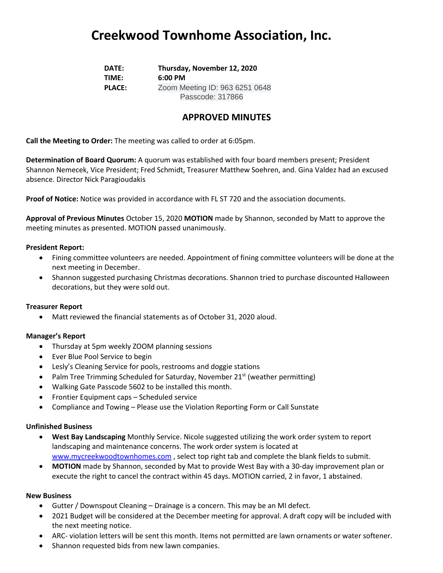## **Creekwood Townhome Association, Inc.**

**DATE: Thursday, November 12, 2020 TIME: 6:00 PM PLACE:** Zoom Meeting ID: 963 6251 0648 Passcode: 317866

### **APPROVED MINUTES**

**Call the Meeting to Order:** The meeting was called to order at 6:05pm.

**Determination of Board Quorum:** A quorum was established with four board members present; President Shannon Nemecek, Vice President; Fred Schmidt, Treasurer Matthew Soehren, and. Gina Valdez had an excused absence. Director Nick Paragioudakis

**Proof of Notice:** Notice was provided in accordance with FL ST 720 and the association documents.

**Approval of Previous Minutes** October 15, 2020 **MOTION** made by Shannon, seconded by Matt to approve the meeting minutes as presented. MOTION passed unanimously.

#### **President Report:**

- Fining committee volunteers are needed. Appointment of fining committee volunteers will be done at the next meeting in December.
- Shannon suggested purchasing Christmas decorations. Shannon tried to purchase discounted Halloween decorations, but they were sold out.

#### **Treasurer Report**

• Matt reviewed the financial statements as of October 31, 2020 aloud.

#### **Manager's Report**

- Thursday at 5pm weekly ZOOM planning sessions
- Ever Blue Pool Service to begin
- Lesly's Cleaning Service for pools, restrooms and doggie stations
- Palm Tree Trimming Scheduled for Saturday, November 21<sup>st</sup> (weather permitting)
- Walking Gate Passcode 5602 to be installed this month.
- Frontier Equipment caps Scheduled service
- Compliance and Towing Please use the Violation Reporting Form or Call Sunstate

#### **Unfinished Business**

- **West Bay Landscaping** Monthly Service. Nicole suggested utilizing the work order system to report landscaping and maintenance concerns. The work order system is located at [www.mycreekwoodtownhomes.com](http://www.mycreekwoodtownhomes.com/) , select top right tab and complete the blank fields to submit.
- **MOTION** made by Shannon, seconded by Mat to provide West Bay with a 30-day improvement plan or execute the right to cancel the contract within 45 days. MOTION carried, 2 in favor, 1 abstained.

#### **New Business**

- Gutter / Downspout Cleaning Drainage is a concern. This may be an MI defect.
- 2021 Budget will be considered at the December meeting for approval. A draft copy will be included with the next meeting notice.
- ARC- violation letters will be sent this month. Items not permitted are lawn ornaments or water softener.
- Shannon requested bids from new lawn companies.